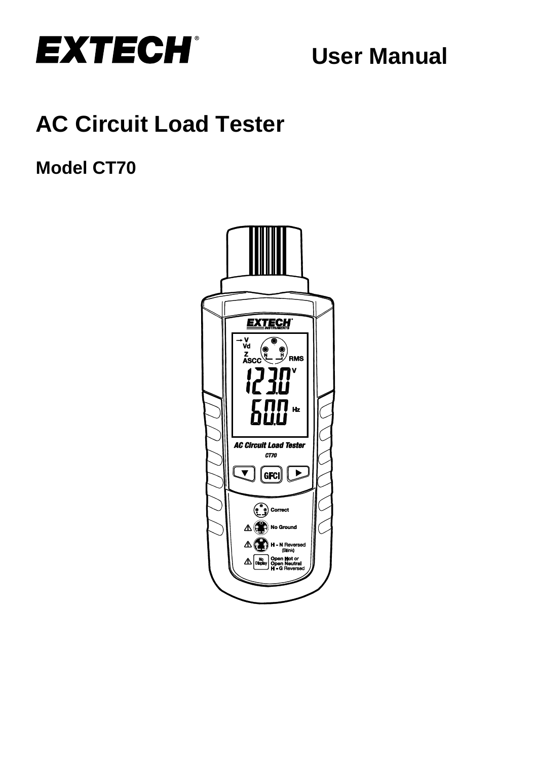

**User Manual**

# **AC Circuit Load Tester**

## **Model CT70**

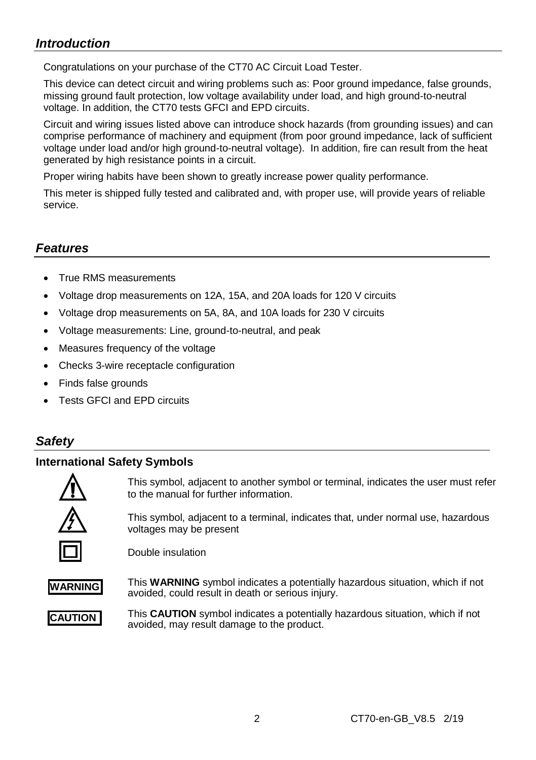## *Introduction*

Congratulations on your purchase of the CT70 AC Circuit Load Tester.

This device can detect circuit and wiring problems such as: Poor ground impedance, false grounds, missing ground fault protection, low voltage availability under load, and high ground-to-neutral voltage. In addition, the CT70 tests GFCI and EPD circuits.

Circuit and wiring issues listed above can introduce shock hazards (from grounding issues) and can comprise performance of machinery and equipment (from poor ground impedance, lack of sufficient voltage under load and/or high ground-to-neutral voltage). In addition, fire can result from the heat generated by high resistance points in a circuit.

Proper wiring habits have been shown to greatly increase power quality performance.

This meter is shipped fully tested and calibrated and, with proper use, will provide years of reliable service.

## *Features*

- True RMS measurements
- Voltage drop measurements on 12A, 15A, and 20A loads for 120 V circuits
- Voltage drop measurements on 5A, 8A, and 10A loads for 230 V circuits
- Voltage measurements: Line, ground-to-neutral, and peak
- Measures frequency of the voltage
- Checks 3-wire receptacle configuration
- Finds false grounds
- **Tests GECI and EPD circuits**

## *Safety*

#### **International Safety Symbols**



This symbol, adjacent to another symbol or terminal, indicates the user must refer to the manual for further information.

This symbol, adjacent to a terminal, indicates that, under normal use, hazardous voltages may be present

Double insulation



This **WARNING** symbol indicates a potentially hazardous situation, which if not avoided, could result in death or serious injury.



This **CAUTION** symbol indicates a potentially hazardous situation, which if not avoided, may result damage to the product.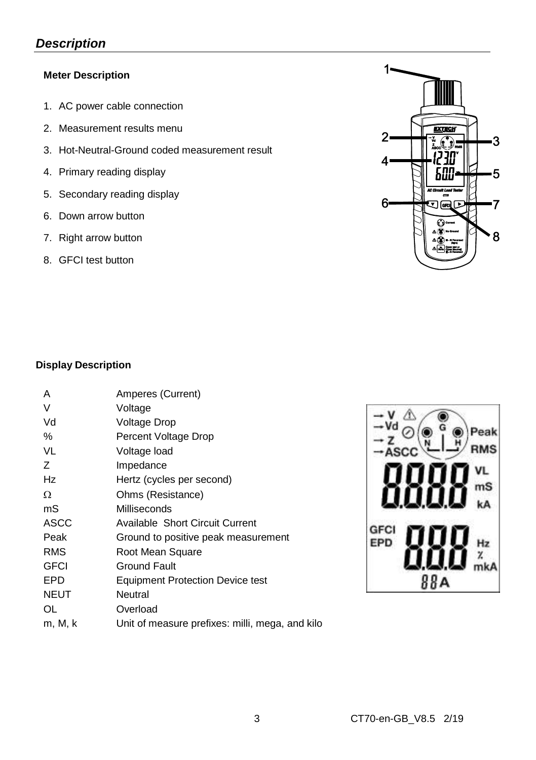## *Description*

#### **Meter Description**

- 1. AC power cable connection
- 2. Measurement results menu
- 3. Hot-Neutral-Ground coded measurement result
- 4. Primary reading display
- 5. Secondary reading display
- 6. Down arrow button
- 7. Right arrow button
- 8. GFCI test button



Peak **RMS** 

> nS kA

 $x$ <sub>mk</sub>A

#### **Display Description**

| A           | Amperes (Current)                               |     |
|-------------|-------------------------------------------------|-----|
| $\vee$      | Voltage                                         |     |
| Vd          | Voltage Drop                                    |     |
| %           | Percent Voltage Drop                            |     |
| VL          | Voltage load                                    |     |
| Ζ           | Impedance                                       |     |
| Hz          | Hertz (cycles per second)                       |     |
| Ω           | Ohms (Resistance)                               |     |
| mS          | Milliseconds                                    |     |
| ASCC        | Available Short Circuit Current                 | GFC |
| Peak        | Ground to positive peak measurement             | EPD |
| <b>RMS</b>  | Root Mean Square                                |     |
| <b>GFCI</b> | Ground Fault                                    |     |
| EPD         | <b>Equipment Protection Device test</b>         |     |
| <b>NEUT</b> | Neutral                                         |     |
| OL          | Overload                                        |     |
| m, M, k     | Unit of measure prefixes: milli, mega, and kilo |     |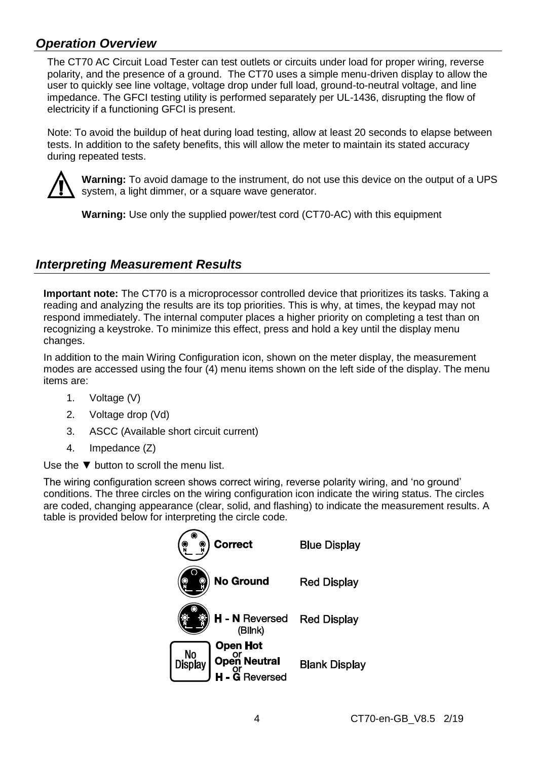## *Operation Overview*

The CT70 AC Circuit Load Tester can test outlets or circuits under load for proper wiring, reverse polarity, and the presence of a ground. The CT70 uses a simple menu-driven display to allow the user to quickly see line voltage, voltage drop under full load, ground-to-neutral voltage, and line impedance. The GFCI testing utility is performed separately per UL-1436, disrupting the flow of electricity if a functioning GFCI is present.

Note: To avoid the buildup of heat during load testing, allow at least 20 seconds to elapse between tests. In addition to the safety benefits, this will allow the meter to maintain its stated accuracy during repeated tests.



**Warning:** To avoid damage to the instrument, do not use this device on the output of a UPS system, a light dimmer, or a square wave generator.

**Warning:** Use only the supplied power/test cord (CT70-AC) with this equipment

## *Interpreting Measurement Results*

**Important note:** The CT70 is a microprocessor controlled device that prioritizes its tasks. Taking a reading and analyzing the results are its top priorities. This is why, at times, the keypad may not respond immediately. The internal computer places a higher priority on completing a test than on recognizing a keystroke. To minimize this effect, press and hold a key until the display menu changes.

In addition to the main Wiring Configuration icon, shown on the meter display, the measurement modes are accessed using the four (4) menu items shown on the left side of the display. The menu items are:

- 1. Voltage (V)
- 2. Voltage drop (Vd)
- 3. ASCC (Available short circuit current)
- 4. Impedance (Z)

Use the ▼ button to scroll the menu list.

The wiring configuration screen shows correct wiring, reverse polarity wiring, and 'no ground' conditions. The three circles on the wiring configuration icon indicate the wiring status. The circles are coded, changing appearance (clear, solid, and flashing) to indicate the measurement results. A table is provided below for interpreting the circle code.

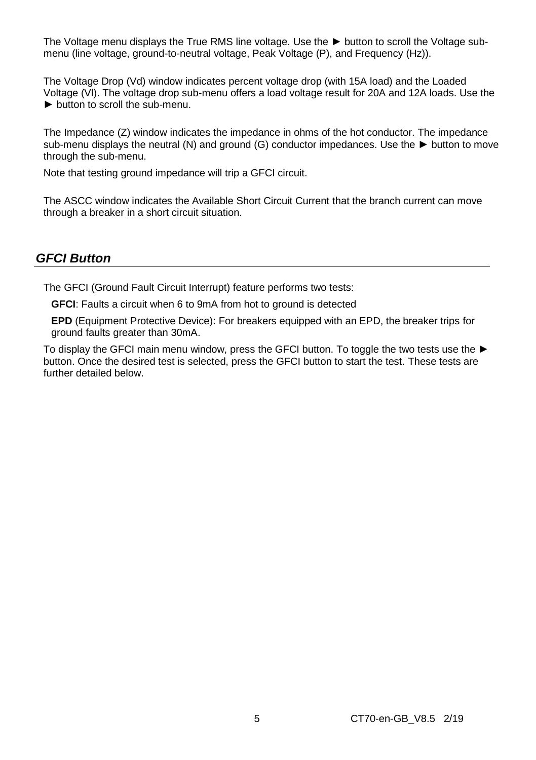The Voltage menu displays the True RMS line voltage. Use the ► button to scroll the Voltage submenu (line voltage, ground-to-neutral voltage, Peak Voltage (P), and Frequency (Hz)).

The Voltage Drop (Vd) window indicates percent voltage drop (with 15A load) and the Loaded Voltage (Vl). The voltage drop sub-menu offers a load voltage result for 20A and 12A loads. Use the  $\blacktriangleright$  button to scroll the sub-menu

The Impedance (Z) window indicates the impedance in ohms of the hot conductor. The impedance sub-menu displays the neutral (N) and ground (G) conductor impedances. Use the ► button to move through the sub-menu.

Note that testing ground impedance will trip a GFCI circuit.

The ASCC window indicates the Available Short Circuit Current that the branch current can move through a breaker in a short circuit situation.

## *GFCI Button*

The GFCI (Ground Fault Circuit Interrupt) feature performs two tests:

**GFCI**: Faults a circuit when 6 to 9mA from hot to ground is detected

**EPD** (Equipment Protective Device): For breakers equipped with an EPD, the breaker trips for ground faults greater than 30mA.

To display the GFCI main menu window, press the GFCI button. To toggle the two tests use the ► button. Once the desired test is selected, press the GFCI button to start the test. These tests are further detailed below.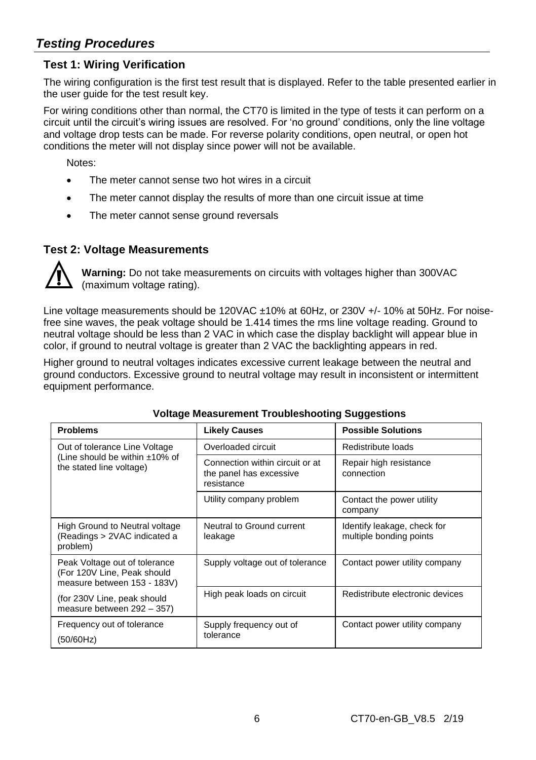## *Testing Procedures*

## **Test 1: Wiring Verification**

The wiring configuration is the first test result that is displayed. Refer to the table presented earlier in the user guide for the test result key.

For wiring conditions other than normal, the CT70 is limited in the type of tests it can perform on a circuit until the circuit's wiring issues are resolved. For 'no ground' conditions, only the line voltage and voltage drop tests can be made. For reverse polarity conditions, open neutral, or open hot conditions the meter will not display since power will not be available.

Notes:

- The meter cannot sense two hot wires in a circuit
- The meter cannot display the results of more than one circuit issue at time
- The meter cannot sense ground reversals

### **Test 2: Voltage Measurements**



**Warning:** Do not take measurements on circuits with voltages higher than 300VAC (maximum voltage rating).

Line voltage measurements should be 120VAC ±10% at 60Hz, or 230V +/- 10% at 50Hz. For noisefree sine waves, the peak voltage should be 1.414 times the rms line voltage reading. Ground to neutral voltage should be less than 2 VAC in which case the display backlight will appear blue in color, if ground to neutral voltage is greater than 2 VAC the backlighting appears in red.

Higher ground to neutral voltages indicates excessive current leakage between the neutral and ground conductors. Excessive ground to neutral voltage may result in inconsistent or intermittent equipment performance.

| <b>Problems</b>                                                                             | <b>Likely Causes</b>                                                     | <b>Possible Solutions</b>                              |
|---------------------------------------------------------------------------------------------|--------------------------------------------------------------------------|--------------------------------------------------------|
| Out of tolerance Line Voltage                                                               | Overloaded circuit                                                       | Redistribute loads                                     |
| (Line should be within ±10% of<br>the stated line voltage)                                  | Connection within circuit or at<br>the panel has excessive<br>resistance | Repair high resistance<br>connection                   |
|                                                                                             | Utility company problem                                                  | Contact the power utility<br>company                   |
| High Ground to Neutral voltage<br>(Readings > 2VAC indicated a<br>problem)                  | Neutral to Ground current<br>leakage                                     | Identify leakage, check for<br>multiple bonding points |
| Peak Voltage out of tolerance<br>(For 120V Line, Peak should<br>measure between 153 - 183V) | Supply voltage out of tolerance                                          | Contact power utility company                          |
| (for 230V Line, peak should<br>measure between 292 - 357)                                   | High peak loads on circuit                                               | Redistribute electronic devices                        |
| Frequency out of tolerance                                                                  | Supply frequency out of                                                  | Contact power utility company                          |
| (50/60Hz)                                                                                   | tolerance                                                                |                                                        |

#### **Voltage Measurement Troubleshooting Suggestions**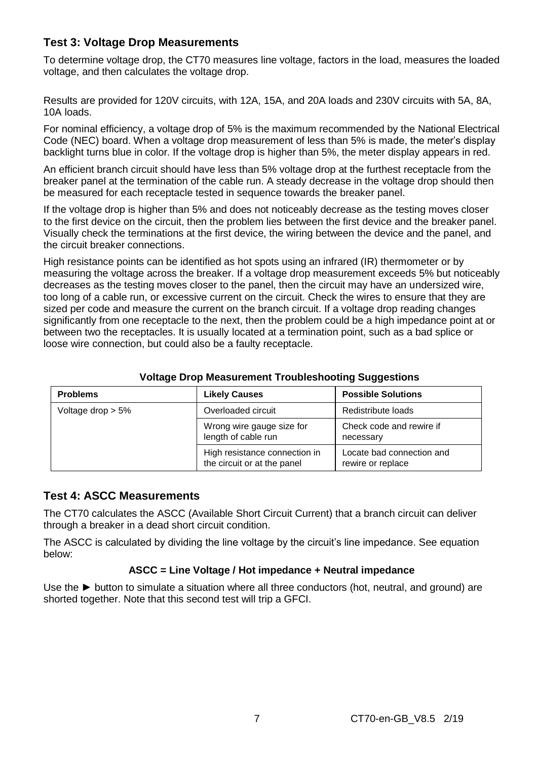## **Test 3: Voltage Drop Measurements**

To determine voltage drop, the CT70 measures line voltage, factors in the load, measures the loaded voltage, and then calculates the voltage drop.

Results are provided for 120V circuits, with 12A, 15A, and 20A loads and 230V circuits with 5A, 8A, 10A loads.

For nominal efficiency, a voltage drop of 5% is the maximum recommended by the National Electrical Code (NEC) board. When a voltage drop measurement of less than 5% is made, the meter's display backlight turns blue in color. If the voltage drop is higher than 5%, the meter display appears in red.

An efficient branch circuit should have less than 5% voltage drop at the furthest receptacle from the breaker panel at the termination of the cable run. A steady decrease in the voltage drop should then be measured for each receptacle tested in sequence towards the breaker panel.

If the voltage drop is higher than 5% and does not noticeably decrease as the testing moves closer to the first device on the circuit, then the problem lies between the first device and the breaker panel. Visually check the terminations at the first device, the wiring between the device and the panel, and the circuit breaker connections.

High resistance points can be identified as hot spots using an infrared (IR) thermometer or by measuring the voltage across the breaker. If a voltage drop measurement exceeds 5% but noticeably decreases as the testing moves closer to the panel, then the circuit may have an undersized wire, too long of a cable run, or excessive current on the circuit. Check the wires to ensure that they are sized per code and measure the current on the branch circuit. If a voltage drop reading changes significantly from one receptacle to the next, then the problem could be a high impedance point at or between two the receptacles. It is usually located at a termination point, such as a bad splice or loose wire connection, but could also be a faulty receptacle.

| <b>Problems</b>      | <b>Likely Causes</b>                                         | <b>Possible Solutions</b>                      |
|----------------------|--------------------------------------------------------------|------------------------------------------------|
| Voltage drop $> 5\%$ | Overloaded circuit                                           | Redistribute loads                             |
|                      | Wrong wire gauge size for<br>length of cable run             | Check code and rewire if<br>necessary          |
|                      | High resistance connection in<br>the circuit or at the panel | Locate bad connection and<br>rewire or replace |

#### **Voltage Drop Measurement Troubleshooting Suggestions**

#### **Test 4: ASCC Measurements**

The CT70 calculates the ASCC (Available Short Circuit Current) that a branch circuit can deliver through a breaker in a dead short circuit condition.

The ASCC is calculated by dividing the line voltage by the circuit's line impedance. See equation below:

#### **ASCC = Line Voltage / Hot impedance + Neutral impedance**

Use the ► button to simulate a situation where all three conductors (hot, neutral, and ground) are shorted together. Note that this second test will trip a GFCI.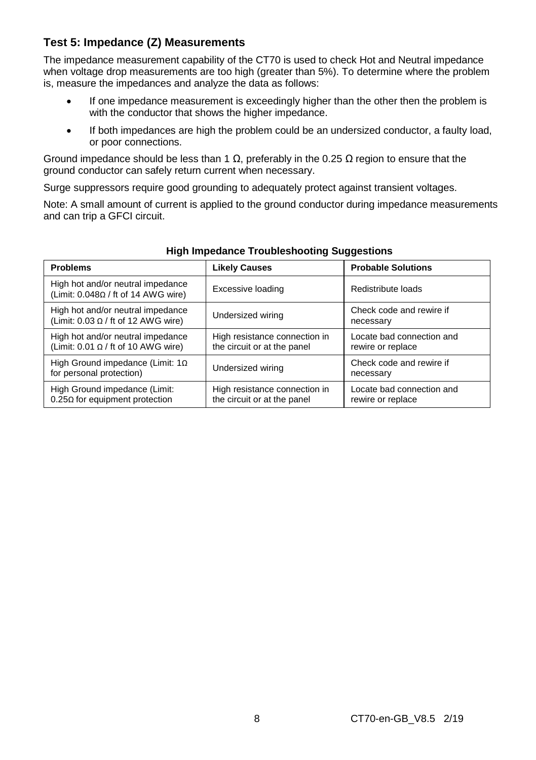## **Test 5: Impedance (Z) Measurements**

The impedance measurement capability of the CT70 is used to check Hot and Neutral impedance when voltage drop measurements are too high (greater than 5%). To determine where the problem is, measure the impedances and analyze the data as follows:

- If one impedance measurement is exceedingly higher than the other then the problem is with the conductor that shows the higher impedance.
- If both impedances are high the problem could be an undersized conductor, a faulty load, or poor connections.

Ground impedance should be less than 1 Ω, preferably in the 0.25  $Ω$  region to ensure that the ground conductor can safely return current when necessary.

Surge suppressors require good grounding to adequately protect against transient voltages.

Note: A small amount of current is applied to the ground conductor during impedance measurements and can trip a GFCI circuit.

| <b>Problems</b>                                                                 | <b>Likely Causes</b>                                         | <b>Probable Solutions</b>                      |
|---------------------------------------------------------------------------------|--------------------------------------------------------------|------------------------------------------------|
| High hot and/or neutral impedance<br>(Limit: 0.048Ω / ft of 14 AWG wire)        | Excessive loading                                            | Redistribute loads                             |
| High hot and/or neutral impedance<br>(Limit: $0.03 \Omega /$ ft of 12 AWG wire) | Undersized wiring                                            | Check code and rewire if<br>necessary          |
| High hot and/or neutral impedance<br>(Limit: $0.01 \Omega /$ ft of 10 AWG wire) | High resistance connection in<br>the circuit or at the panel | Locate bad connection and<br>rewire or replace |
| High Ground impedance (Limit: $1\Omega$<br>for personal protection)             | Undersized wiring                                            | Check code and rewire if<br>necessary          |
| High Ground impedance (Limit:<br>$0.25\Omega$ for equipment protection          | High resistance connection in<br>the circuit or at the panel | Locate bad connection and<br>rewire or replace |

#### **High Impedance Troubleshooting Suggestions**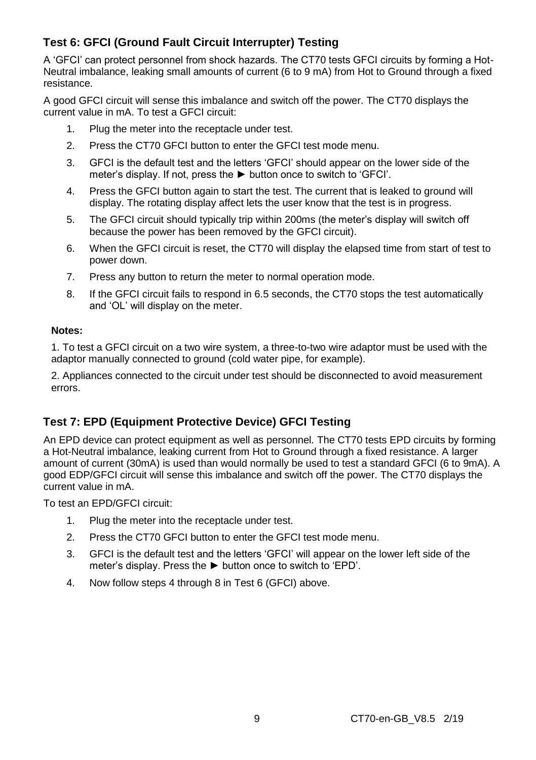## **Test 6: GFCI (Ground Fault Circuit Interrupter) Testing**

A 'GFCI' can protect personnel from shock hazards. The CT70 tests GFCI circuits by forming a Hot-Neutral imbalance, leaking small amounts of current (6 to 9 mA) from Hot to Ground through a fixed resistance.

A good GFCI circuit will sense this imbalance and switch off the power. The CT70 displays the current value in mA. To test a GFCI circuit:

- 1. Plug the meter into the receptacle under test.
- 2. Press the CT70 GFCI button to enter the GFCI test mode menu.
- 3. GFCI is the default test and the letters 'GFCI' should appear on the lower side of the meter's display. If not, press the ► button once to switch to 'GFCI'.
- 4. Press the GFCI button again to start the test. The current that is leaked to ground will display. The rotating display affect lets the user know that the test is in progress.
- 5. The GFCI circuit should typically trip within 200ms (the meter's display will switch off because the power has been removed by the GFCI circuit).
- 6. When the GFCI circuit is reset, the CT70 will display the elapsed time from start of test to power down.
- 7. Press any button to return the meter to normal operation mode.
- 8. If the GFCI circuit fails to respond in 6.5 seconds, the CT70 stops the test automatically and 'OL' will display on the meter.

#### **Notes:**

1. To test a GFCI circuit on a two wire system, a three-to-two wire adaptor must be used with the adaptor manually connected to ground (cold water pipe, for example).

2. Appliances connected to the circuit under test should be disconnected to avoid measurement errors.

## **Test 7: EPD (Equipment Protective Device) GFCI Testing**

An EPD device can protect equipment as well as personnel. The CT70 tests EPD circuits by forming a Hot-Neutral imbalance, leaking current from Hot to Ground through a fixed resistance. A larger amount of current (30mA) is used than would normally be used to test a standard GFCI (6 to 9mA). A good EDP/GFCI circuit will sense this imbalance and switch off the power. The CT70 displays the current value in mA.

To test an EPD/GFCI circuit:

- 1. Plug the meter into the receptacle under test.
- 2. Press the CT70 GFCI button to enter the GFCI test mode menu.
- 3. GFCI is the default test and the letters 'GFCI' will appear on the lower left side of the meter's display. Press the ► button once to switch to 'EPD'.
- 4. Now follow steps 4 through 8 in Test 6 (GFCI) above.